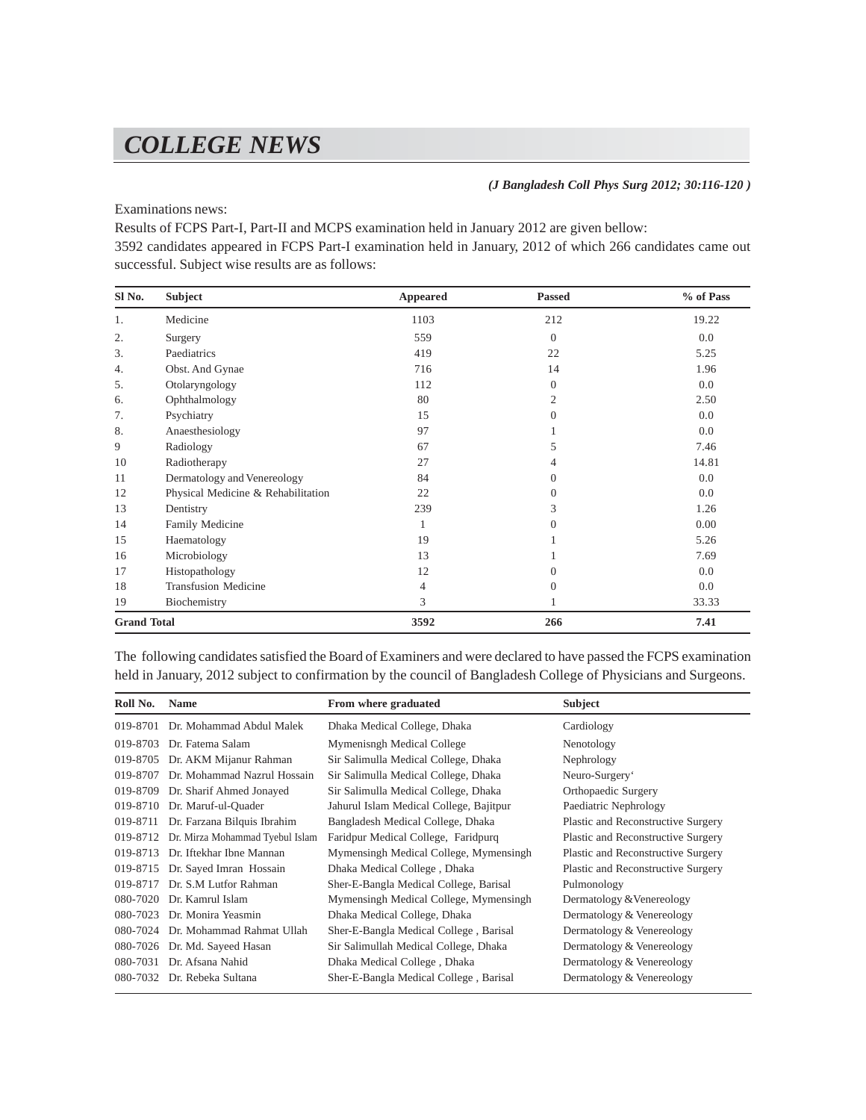## *COLLEGE NEWS*

*(J Bangladesh Coll Phys Surg 2012; 30:116-120 )*

Examinations news:

Results of FCPS Part-I, Part-II and MCPS examination held in January 2012 are given bellow:

3592 candidates appeared in FCPS Part-I examination held in January, 2012 of which 266 candidates came out successful. Subject wise results are as follows:

| Sl No.             | Subject                            | Appeared | <b>Passed</b> | % of Pass |
|--------------------|------------------------------------|----------|---------------|-----------|
| 1.                 | Medicine                           | 1103     | 212           | 19.22     |
| 2.                 | Surgery                            | 559      | $\Omega$      | 0.0       |
| 3.                 | Paediatrics                        | 419      | 22            | 5.25      |
| 4.                 | Obst. And Gynae                    | 716      | 14            | 1.96      |
| 5.                 | Otolaryngology                     | 112      | $\Omega$      | 0.0       |
| 6.                 | Ophthalmology                      | 80       | 2             | 2.50      |
| 7.                 | Psychiatry                         | 15       | $\Omega$      | 0.0       |
| 8.                 | Anaesthesiology                    | 97       |               | 0.0       |
| 9                  | Radiology                          | 67       | 5             | 7.46      |
| 10                 | Radiotherapy                       | 27       | 4             | 14.81     |
| 11                 | Dermatology and Venereology        | 84       | $\Omega$      | 0.0       |
| 12                 | Physical Medicine & Rehabilitation | 22       | $\Omega$      | 0.0       |
| 13                 | Dentistry                          | 239      | 3             | 1.26      |
| 14                 | Family Medicine                    | 1        | $\theta$      | 0.00      |
| 15                 | Haematology                        | 19       |               | 5.26      |
| 16                 | Microbiology                       | 13       |               | 7.69      |
| 17                 | Histopathology                     | 12       | $\Omega$      | 0.0       |
| 18                 | <b>Transfusion Medicine</b>        | 4        | $\mathbf{0}$  | 0.0       |
| 19                 | Biochemistry                       | 3        |               | 33.33     |
| <b>Grand Total</b> |                                    | 3592     | 266           | 7.41      |

The following candidates satisfied the Board of Examiners and were declared to have passed the FCPS examination held in January, 2012 subject to confirmation by the council of Bangladesh College of Physicians and Surgeons.

| Roll No. | <b>Name</b>                     | From where graduated                    | <b>Subject</b>                     |
|----------|---------------------------------|-----------------------------------------|------------------------------------|
| 019-8701 | Dr. Mohammad Abdul Malek        | Dhaka Medical College, Dhaka            | Cardiology                         |
| 019-8703 | Dr. Fatema Salam                | Mymenisngh Medical College              | Nenotology                         |
| 019-8705 | Dr. AKM Mijanur Rahman          | Sir Salimulla Medical College, Dhaka    | Nephrology                         |
| 019-8707 | Dr. Mohammad Nazrul Hossain     | Sir Salimulla Medical College, Dhaka    | Neuro-Surgery'                     |
| 019-8709 | Dr. Sharif Ahmed Jonayed        | Sir Salimulla Medical College, Dhaka    | Orthopaedic Surgery                |
| 019-8710 | Dr. Maruf-ul-Quader             | Jahurul Islam Medical College, Bajitpur | Paediatric Nephrology              |
| 019-8711 | Dr. Farzana Bilquis Ibrahim     | Bangladesh Medical College, Dhaka       | Plastic and Reconstructive Surgery |
| 019-8712 | Dr. Mirza Mohammad Tyebul Islam | Faridpur Medical College, Faridpurq     | Plastic and Reconstructive Surgery |
| 019-8713 | Dr. Iftekhar Ibne Mannan        | Mymensingh Medical College, Mymensingh  | Plastic and Reconstructive Surgery |
| 019-8715 | Dr. Sayed Imran Hossain         | Dhaka Medical College, Dhaka            | Plastic and Reconstructive Surgery |
| 019-8717 | Dr. S.M Lutfor Rahman           | Sher-E-Bangla Medical College, Barisal  | Pulmonology                        |
| 080-7020 | Dr. Kamrul Islam                | Mymensingh Medical College, Mymensingh  | Dermatology & Venereology          |
| 080-7023 | Dr. Monira Yeasmin              | Dhaka Medical College, Dhaka            | Dermatology & Venereology          |
| 080-7024 | Dr. Mohammad Rahmat Ullah       | Sher-E-Bangla Medical College, Barisal  | Dermatology & Venereology          |
| 080-7026 | Dr. Md. Sayeed Hasan            | Sir Salimullah Medical College, Dhaka   | Dermatology & Venereology          |
| 080-7031 | Dr. Afsana Nahid                | Dhaka Medical College, Dhaka            | Dermatology & Venereology          |
| 080-7032 | Dr. Rebeka Sultana              | Sher-E-Bangla Medical College, Barisal  | Dermatology & Venereology          |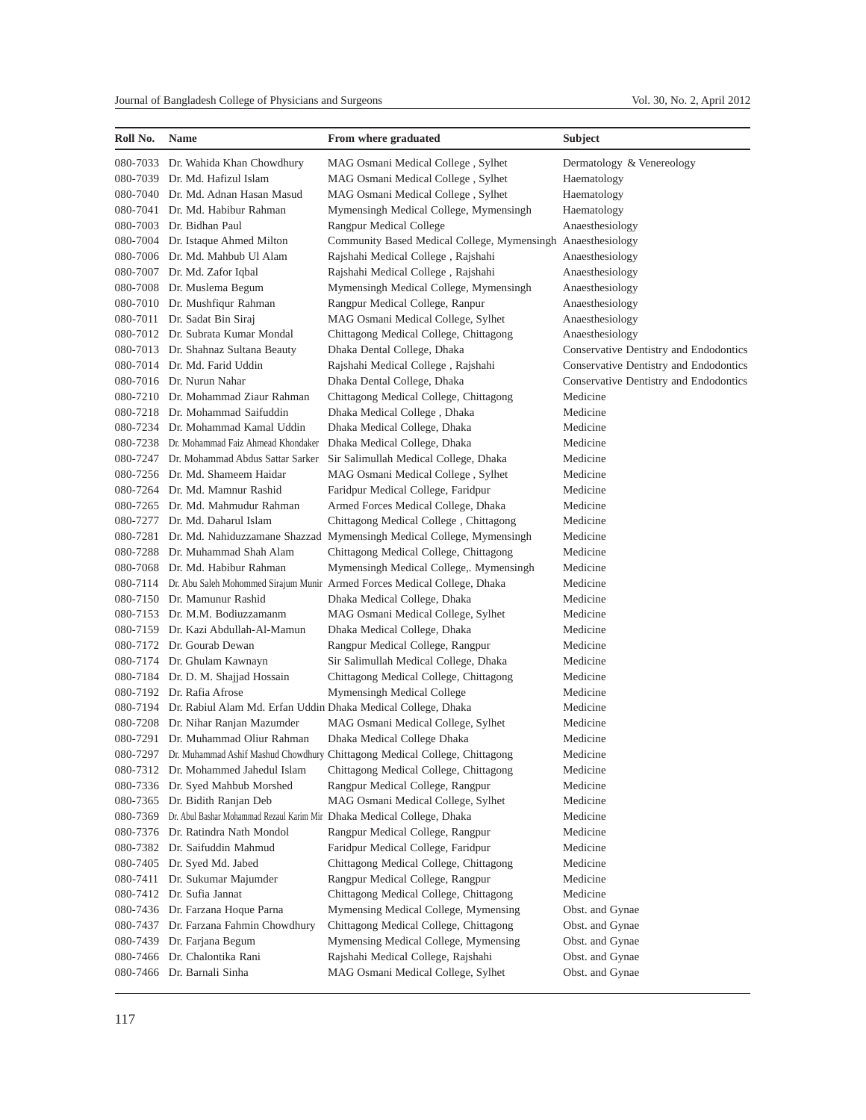| Roll No. | Name                                                                   | From where graduated                                                                | Subject                                |
|----------|------------------------------------------------------------------------|-------------------------------------------------------------------------------------|----------------------------------------|
|          | 080-7033 Dr. Wahida Khan Chowdhury                                     | MAG Osmani Medical College, Sylhet                                                  | Dermatology & Venereology              |
|          | 080-7039 Dr. Md. Hafizul Islam                                         | MAG Osmani Medical College, Sylhet                                                  | Haematology                            |
|          | 080-7040 Dr. Md. Adnan Hasan Masud                                     | MAG Osmani Medical College, Sylhet                                                  | Haematology                            |
|          | 080-7041 Dr. Md. Habibur Rahman                                        | Mymensingh Medical College, Mymensingh                                              | Haematology                            |
|          | 080-7003 Dr. Bidhan Paul                                               | Rangpur Medical College                                                             | Anaesthesiology                        |
|          | 080-7004 Dr. Istaque Ahmed Milton                                      | Community Based Medical College, Mymensingh Anaesthesiology                         |                                        |
|          | 080-7006 Dr. Md. Mahbub Ul Alam                                        | Rajshahi Medical College, Rajshahi                                                  | Anaesthesiology                        |
|          | 080-7007 Dr. Md. Zafor Iqbal                                           | Rajshahi Medical College, Rajshahi                                                  | Anaesthesiology                        |
|          | 080-7008 Dr. Muslema Begum                                             | Mymensingh Medical College, Mymensingh                                              | Anaesthesiology                        |
|          | 080-7010 Dr. Mushfiqur Rahman                                          | Rangpur Medical College, Ranpur                                                     | Anaesthesiology                        |
|          | 080-7011 Dr. Sadat Bin Siraj                                           | MAG Osmani Medical College, Sylhet                                                  | Anaesthesiology                        |
|          | 080-7012 Dr. Subrata Kumar Mondal                                      | Chittagong Medical College, Chittagong                                              | Anaesthesiology                        |
|          | 080-7013 Dr. Shahnaz Sultana Beauty                                    | Dhaka Dental College, Dhaka                                                         | Conservative Dentistry and Endodontics |
|          | 080-7014 Dr. Md. Farid Uddin                                           | Rajshahi Medical College, Rajshahi                                                  | Conservative Dentistry and Endodontics |
|          | 080-7016 Dr. Nurun Nahar                                               | Dhaka Dental College, Dhaka                                                         | Conservative Dentistry and Endodontics |
|          | 080-7210 Dr. Mohammad Ziaur Rahman                                     | Chittagong Medical College, Chittagong                                              | Medicine                               |
|          | 080-7218 Dr. Mohammad Saifuddin                                        | Dhaka Medical College, Dhaka                                                        | Medicine                               |
|          | 080-7234 Dr. Mohammad Kamal Uddin                                      | Dhaka Medical College, Dhaka                                                        | Medicine                               |
|          | 080-7238 Dr. Mohammad Faiz Ahmead Khondaker                            | Dhaka Medical College, Dhaka                                                        | Medicine                               |
|          | 080-7247 Dr. Mohammad Abdus Sattar Sarker                              | Sir Salimullah Medical College, Dhaka                                               | Medicine                               |
|          | 080-7256 Dr. Md. Shameem Haidar                                        | MAG Osmani Medical College, Sylhet                                                  | Medicine                               |
|          | 080-7264 Dr. Md. Mamnur Rashid                                         | Faridpur Medical College, Faridpur                                                  | Medicine                               |
|          | 080-7265 Dr. Md. Mahmudur Rahman                                       | Armed Forces Medical College, Dhaka                                                 | Medicine                               |
|          | 080-7277 Dr. Md. Daharul Islam                                         | Chittagong Medical College, Chittagong                                              | Medicine                               |
|          |                                                                        | 080-7281 Dr. Md. Nahiduzzamane Shazzad Mymensingh Medical College, Mymensingh       | Medicine                               |
|          | 080-7288 Dr. Muhammad Shah Alam                                        | Chittagong Medical College, Chittagong                                              | Medicine                               |
|          | 080-7068 Dr. Md. Habibur Rahman                                        | Mymensingh Medical College,. Mymensingh                                             | Medicine                               |
|          |                                                                        | 080-7114 Dr. Abu Saleh Mohommed Sirajum Munir Armed Forces Medical College, Dhaka   | Medicine                               |
|          | 080-7150 Dr. Mamunur Rashid                                            | Dhaka Medical College, Dhaka                                                        | Medicine                               |
|          | 080-7153 Dr. M.M. Bodiuzzamanm                                         | MAG Osmani Medical College, Sylhet                                                  | Medicine                               |
|          | 080-7159 Dr. Kazi Abdullah-Al-Mamun                                    | Dhaka Medical College, Dhaka                                                        | Medicine                               |
|          | 080-7172 Dr. Gourab Dewan                                              | Rangpur Medical College, Rangpur                                                    | Medicine                               |
|          | 080-7174 Dr. Ghulam Kawnayn                                            | Sir Salimullah Medical College, Dhaka                                               | Medicine                               |
|          | 080-7184 Dr. D. M. Shajjad Hossain                                     | Chittagong Medical College, Chittagong                                              | Medicine                               |
|          | 080-7192 Dr. Rafia Afrose                                              | Mymensingh Medical College                                                          | Medicine                               |
|          | 080-7194 Dr. Rabiul Alam Md. Erfan Uddin Dhaka Medical College, Dhaka  |                                                                                     | Medicine                               |
|          | 080-7208 Dr. Nihar Ranjan Mazumder                                     | MAG Osmani Medical College, Sylhet                                                  | Medicine                               |
|          | 080-7291 Dr. Muhammad Oliur Rahman                                     | Dhaka Medical College Dhaka                                                         | Medicine                               |
|          |                                                                        | 080-7297 Dr. Muhammad Ashif Mashud Chowdhury Chittagong Medical College, Chittagong | Medicine                               |
|          | 080-7312 Dr. Mohammed Jahedul Islam                                    | Chittagong Medical College, Chittagong                                              | Medicine                               |
|          | 080-7336 Dr. Syed Mahbub Morshed                                       | Rangpur Medical College, Rangpur                                                    | Medicine                               |
|          | 080-7365 Dr. Bidith Ranjan Deb                                         | MAG Osmani Medical College, Sylhet                                                  | Medicine                               |
| 080-7369 | Dr. Abul Bashar Mohammad Rezaul Karim Mir Dhaka Medical College, Dhaka |                                                                                     | Medicine                               |
|          | 080-7376 Dr. Ratindra Nath Mondol                                      | Rangpur Medical College, Rangpur                                                    | Medicine                               |
| 080-7382 | Dr. Saifuddin Mahmud                                                   | Faridpur Medical College, Faridpur                                                  | Medicine                               |
|          | 080-7405 Dr. Syed Md. Jabed                                            | Chittagong Medical College, Chittagong                                              | Medicine                               |
| 080-7411 | Dr. Sukumar Majumder                                                   | Rangpur Medical College, Rangpur                                                    | Medicine                               |
|          | 080-7412 Dr. Sufia Jannat                                              | Chittagong Medical College, Chittagong                                              | Medicine                               |
|          | 080-7436 Dr. Farzana Hoque Parna                                       | Mymensing Medical College, Mymensing                                                | Obst. and Gynae                        |
|          | 080-7437 Dr. Farzana Fahmin Chowdhury                                  | Chittagong Medical College, Chittagong                                              | Obst. and Gynae                        |
| 080-7439 | Dr. Farjana Begum                                                      | Mymensing Medical College, Mymensing                                                | Obst. and Gynae                        |
|          | 080-7466 Dr. Chalontika Rani                                           | Rajshahi Medical College, Rajshahi                                                  | Obst. and Gynae                        |
|          | 080-7466 Dr. Barnali Sinha                                             | MAG Osmani Medical College, Sylhet                                                  | Obst. and Gynae                        |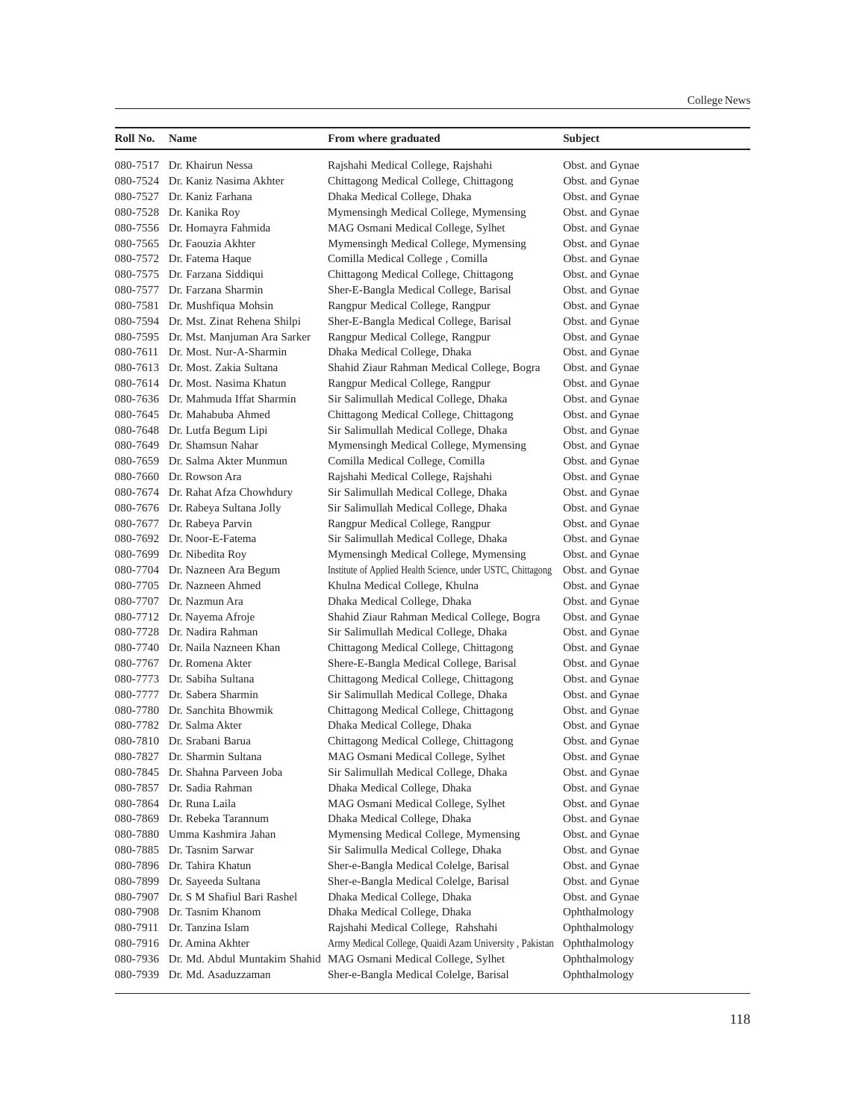| Roll No. | <b>Name</b>                           | From where graduated                                             | Subject         |
|----------|---------------------------------------|------------------------------------------------------------------|-----------------|
|          | 080-7517 Dr. Khairun Nessa            | Rajshahi Medical College, Rajshahi                               | Obst. and Gynae |
|          | 080-7524 Dr. Kaniz Nasima Akhter      | Chittagong Medical College, Chittagong                           | Obst. and Gynae |
|          | 080-7527 Dr. Kaniz Farhana            | Dhaka Medical College, Dhaka                                     | Obst. and Gynae |
|          | 080-7528 Dr. Kanika Roy               | Mymensingh Medical College, Mymensing                            | Obst. and Gynae |
|          | 080-7556 Dr. Homayra Fahmida          | MAG Osmani Medical College, Sylhet                               | Obst. and Gynae |
|          | 080-7565 Dr. Faouzia Akhter           | Mymensingh Medical College, Mymensing                            | Obst. and Gynae |
|          | 080-7572 Dr. Fatema Haque             | Comilla Medical College, Comilla                                 | Obst. and Gynae |
|          | 080-7575 Dr. Farzana Siddiqui         | Chittagong Medical College, Chittagong                           | Obst. and Gynae |
|          | 080-7577 Dr. Farzana Sharmin          | Sher-E-Bangla Medical College, Barisal                           | Obst. and Gynae |
|          | 080-7581 Dr. Mushfiqua Mohsin         | Rangpur Medical College, Rangpur                                 | Obst. and Gynae |
|          | 080-7594 Dr. Mst. Zinat Rehena Shilpi | Sher-E-Bangla Medical College, Barisal                           | Obst. and Gynae |
|          | 080-7595 Dr. Mst. Manjuman Ara Sarker | Rangpur Medical College, Rangpur                                 | Obst. and Gynae |
|          | 080-7611 Dr. Most. Nur-A-Sharmin      | Dhaka Medical College, Dhaka                                     | Obst. and Gynae |
|          | 080-7613 Dr. Most. Zakia Sultana      | Shahid Ziaur Rahman Medical College, Bogra                       | Obst. and Gynae |
|          | 080-7614 Dr. Most. Nasima Khatun      | Rangpur Medical College, Rangpur                                 | Obst. and Gynae |
|          | 080-7636 Dr. Mahmuda Iffat Sharmin    | Sir Salimullah Medical College, Dhaka                            | Obst. and Gynae |
|          | 080-7645 Dr. Mahabuba Ahmed           | Chittagong Medical College, Chittagong                           | Obst. and Gynae |
|          | 080-7648 Dr. Lutfa Begum Lipi         | Sir Salimullah Medical College, Dhaka                            | Obst. and Gynae |
|          | 080-7649 Dr. Shamsun Nahar            | Mymensingh Medical College, Mymensing                            | Obst. and Gynae |
|          | 080-7659 Dr. Salma Akter Munmun       | Comilla Medical College, Comilla                                 | Obst. and Gynae |
|          | 080-7660 Dr. Rowson Ara               | Rajshahi Medical College, Rajshahi                               | Obst. and Gynae |
|          | 080-7674 Dr. Rahat Afza Chowhdury     | Sir Salimullah Medical College, Dhaka                            | Obst. and Gynae |
|          | 080-7676 Dr. Rabeya Sultana Jolly     | Sir Salimullah Medical College, Dhaka                            | Obst. and Gynae |
|          | 080-7677 Dr. Rabeya Parvin            | Rangpur Medical College, Rangpur                                 | Obst. and Gynae |
|          | 080-7692 Dr. Noor-E-Fatema            | Sir Salimullah Medical College, Dhaka                            | Obst. and Gynae |
|          | 080-7699 Dr. Nibedita Roy             | Mymensingh Medical College, Mymensing                            | Obst. and Gynae |
|          | 080-7704 Dr. Nazneen Ara Begum        | Institute of Applied Health Science, under USTC, Chittagong      | Obst. and Gynae |
|          | 080-7705 Dr. Nazneen Ahmed            | Khulna Medical College, Khulna                                   | Obst. and Gynae |
|          | 080-7707 Dr. Nazmun Ara               | Dhaka Medical College, Dhaka                                     | Obst. and Gynae |
|          | 080-7712 Dr. Nayema Afroje            | Shahid Ziaur Rahman Medical College, Bogra                       | Obst. and Gynae |
|          | 080-7728 Dr. Nadira Rahman            | Sir Salimullah Medical College, Dhaka                            | Obst. and Gynae |
|          | 080-7740 Dr. Naila Nazneen Khan       | Chittagong Medical College, Chittagong                           | Obst. and Gynae |
|          | 080-7767 Dr. Romena Akter             | Shere-E-Bangla Medical College, Barisal                          | Obst. and Gynae |
|          | 080-7773 Dr. Sabiha Sultana           | Chittagong Medical College, Chittagong                           | Obst. and Gynae |
|          | 080-7777 Dr. Sabera Sharmin           | Sir Salimullah Medical College, Dhaka                            | Obst. and Gynae |
|          | 080-7780 Dr. Sanchita Bhowmik         | Chittagong Medical College, Chittagong                           | Obst. and Gynae |
|          | 080-7782 Dr. Salma Akter              | Dhaka Medical College, Dhaka                                     | Obst. and Gynae |
|          | 080-7810 Dr. Srabani Barua            | Chittagong Medical College, Chittagong                           | Obst. and Gynae |
|          | 080-7827 Dr. Sharmin Sultana          | MAG Osmani Medical College, Sylhet                               | Obst. and Gynae |
| 080-7845 | Dr. Shahna Parveen Joba               | Sir Salimullah Medical College, Dhaka                            | Obst. and Gynae |
| 080-7857 | Dr. Sadia Rahman                      | Dhaka Medical College, Dhaka                                     | Obst. and Gynae |
| 080-7864 | Dr. Runa Laila                        | MAG Osmani Medical College, Sylhet                               | Obst. and Gynae |
| 080-7869 | Dr. Rebeka Tarannum                   | Dhaka Medical College, Dhaka                                     | Obst. and Gynae |
| 080-7880 | Umma Kashmira Jahan                   | Mymensing Medical College, Mymensing                             | Obst. and Gynae |
| 080-7885 | Dr. Tasnim Sarwar                     | Sir Salimulla Medical College, Dhaka                             | Obst. and Gynae |
| 080-7896 | Dr. Tahira Khatun                     | Sher-e-Bangla Medical Colelge, Barisal                           | Obst. and Gynae |
| 080-7899 | Dr. Sayeeda Sultana                   | Sher-e-Bangla Medical Colelge, Barisal                           | Obst. and Gynae |
| 080-7907 | Dr. S M Shafiul Bari Rashel           | Dhaka Medical College, Dhaka                                     | Obst. and Gynae |
| 080-7908 | Dr. Tasnim Khanom                     | Dhaka Medical College, Dhaka                                     | Ophthalmology   |
| 080-7911 | Dr. Tanzina Islam                     | Rajshahi Medical College, Rahshahi                               | Ophthalmology   |
| 080-7916 | Dr. Amina Akhter                      | Army Medical College, Quaidi Azam University, Pakistan           | Ophthalmology   |
| 080-7936 |                                       | Dr. Md. Abdul Muntakim Shahid MAG Osmani Medical College, Sylhet | Ophthalmology   |
| 080-7939 | Dr. Md. Asaduzzaman                   | Sher-e-Bangla Medical Colelge, Barisal                           | Ophthalmology   |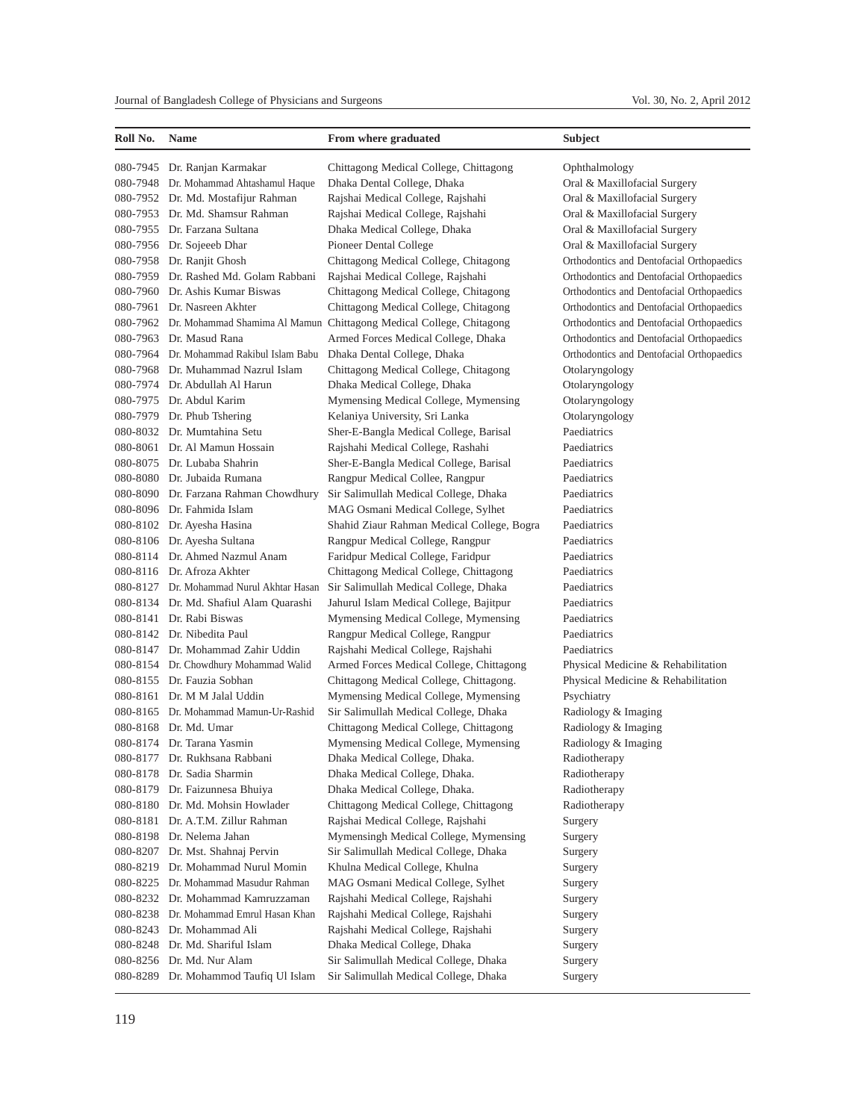| Roll No. | Name                                     | From where graduated                                                         | <b>Subject</b>                            |
|----------|------------------------------------------|------------------------------------------------------------------------------|-------------------------------------------|
|          | 080-7945 Dr. Ranjan Karmakar             | Chittagong Medical College, Chittagong                                       | Ophthalmology                             |
|          | 080-7948 Dr. Mohammad Ahtashamul Haque   | Dhaka Dental College, Dhaka                                                  | Oral & Maxillofacial Surgery              |
|          | 080-7952 Dr. Md. Mostafijur Rahman       | Rajshai Medical College, Rajshahi                                            | Oral & Maxillofacial Surgery              |
|          | 080-7953 Dr. Md. Shamsur Rahman          | Rajshai Medical College, Rajshahi                                            | Oral & Maxillofacial Surgery              |
|          | 080-7955 Dr. Farzana Sultana             | Dhaka Medical College, Dhaka                                                 | Oral & Maxillofacial Surgery              |
|          | 080-7956 Dr. Sojeeeb Dhar                | Pioneer Dental College                                                       | Oral & Maxillofacial Surgery              |
|          | 080-7958 Dr. Ranjit Ghosh                | Chittagong Medical College, Chitagong                                        | Orthodontics and Dentofacial Orthopaedics |
|          | 080-7959 Dr. Rashed Md. Golam Rabbani    | Rajshai Medical College, Rajshahi                                            | Orthodontics and Dentofacial Orthopaedics |
|          | 080-7960 Dr. Ashis Kumar Biswas          | Chittagong Medical College, Chitagong                                        | Orthodontics and Dentofacial Orthopaedics |
|          | 080-7961 Dr. Nasreen Akhter              | Chittagong Medical College, Chitagong                                        | Orthodontics and Dentofacial Orthopaedics |
|          |                                          | 080-7962 Dr. Mohammad Shamima Al Mamun Chittagong Medical College, Chitagong | Orthodontics and Dentofacial Orthopaedics |
|          | 080-7963 Dr. Masud Rana                  | Armed Forces Medical College, Dhaka                                          | Orthodontics and Dentofacial Orthopaedics |
|          | 080-7964 Dr. Mohammad Rakibul Islam Babu | Dhaka Dental College, Dhaka                                                  | Orthodontics and Dentofacial Orthopaedics |
|          | 080-7968 Dr. Muhammad Nazrul Islam       | Chittagong Medical College, Chitagong                                        | Otolaryngology                            |
|          | 080-7974 Dr. Abdullah Al Harun           | Dhaka Medical College, Dhaka                                                 | Otolaryngology                            |
|          | 080-7975 Dr. Abdul Karim                 | Mymensing Medical College, Mymensing                                         | Otolaryngology                            |
|          | 080-7979 Dr. Phub Tshering               | Kelaniya University, Sri Lanka                                               | Otolaryngology                            |
|          | 080-8032 Dr. Mumtahina Setu              | Sher-E-Bangla Medical College, Barisal                                       | Paediatrics                               |
|          | 080-8061 Dr. Al Mamun Hossain            | Rajshahi Medical College, Rashahi                                            | Paediatrics                               |
|          | 080-8075 Dr. Lubaba Shahrin              | Sher-E-Bangla Medical College, Barisal                                       | Paediatrics                               |
|          | 080-8080 Dr. Jubaida Rumana              | Rangpur Medical Collee, Rangpur                                              | Paediatrics                               |
|          | 080-8090 Dr. Farzana Rahman Chowdhury    | Sir Salimullah Medical College, Dhaka                                        | Paediatrics                               |
|          | 080-8096 Dr. Fahmida Islam               | MAG Osmani Medical College, Sylhet                                           | Paediatrics                               |
|          | 080-8102 Dr. Ayesha Hasina               | Shahid Ziaur Rahman Medical College, Bogra                                   | Paediatrics                               |
|          | 080-8106 Dr. Ayesha Sultana              | Rangpur Medical College, Rangpur                                             | Paediatrics                               |
| 080-8114 | Dr. Ahmed Nazmul Anam                    | Faridpur Medical College, Faridpur                                           | Paediatrics                               |
|          | 080-8116 Dr. Afroza Akhter               | Chittagong Medical College, Chittagong                                       | Paediatrics                               |
|          | 080-8127 Dr. Mohammad Nurul Akhtar Hasan | Sir Salimullah Medical College, Dhaka                                        | Paediatrics                               |
|          | 080-8134 Dr. Md. Shafiul Alam Quarashi   | Jahurul Islam Medical College, Bajitpur                                      | Paediatrics                               |
|          | 080-8141 Dr. Rabi Biswas                 | Mymensing Medical College, Mymensing                                         | Paediatrics                               |
|          | 080-8142 Dr. Nibedita Paul               | Rangpur Medical College, Rangpur                                             | Paediatrics                               |
|          | 080-8147 Dr. Mohammad Zahir Uddin        | Rajshahi Medical College, Rajshahi                                           | Paediatrics                               |
|          | 080-8154 Dr. Chowdhury Mohammad Walid    | Armed Forces Medical College, Chittagong                                     | Physical Medicine & Rehabilitation        |
|          | 080-8155 Dr. Fauzia Sobhan               | Chittagong Medical College, Chittagong.                                      | Physical Medicine & Rehabilitation        |
|          | 080-8161 Dr. M M Jalal Uddin             | Mymensing Medical College, Mymensing                                         | Psychiatry                                |
|          | 080-8165 Dr. Mohammad Mamun-Ur-Rashid    | Sir Salimullah Medical College, Dhaka                                        | Radiology & Imaging                       |
|          | 080-8168 Dr. Md. Umar                    | Chittagong Medical College, Chittagong                                       | Radiology & Imaging                       |
|          | 080-8174 Dr. Tarana Yasmin               | Mymensing Medical College, Mymensing                                         | Radiology & Imaging                       |
|          | 080-8177 Dr. Rukhsana Rabbani            | Dhaka Medical College, Dhaka.                                                | Radiotherapy                              |
|          | 080-8178 Dr. Sadia Sharmin               | Dhaka Medical College, Dhaka.                                                | Radiotherapy                              |
| 080-8179 | Dr. Faizunnesa Bhuiya                    | Dhaka Medical College, Dhaka.                                                | Radiotherapy                              |
|          | 080-8180 Dr. Md. Mohsin Howlader         | Chittagong Medical College, Chittagong                                       | Radiotherapy                              |
|          | 080-8181 Dr. A.T.M. Zillur Rahman        | Rajshai Medical College, Rajshahi                                            | Surgery                                   |
|          | 080-8198 Dr. Nelema Jahan                | Mymensingh Medical College, Mymensing                                        | Surgery                                   |
|          | 080-8207 Dr. Mst. Shahnaj Pervin         | Sir Salimullah Medical College, Dhaka                                        | Surgery                                   |
|          | 080-8219 Dr. Mohammad Nurul Momin        | Khulna Medical College, Khulna                                               | Surgery                                   |
| 080-8225 | Dr. Mohammad Masudur Rahman              | MAG Osmani Medical College, Sylhet                                           | Surgery                                   |
|          | 080-8232 Dr. Mohammad Kamruzzaman        | Rajshahi Medical College, Rajshahi                                           | Surgery                                   |
|          | 080-8238 Dr. Mohammad Emrul Hasan Khan   | Rajshahi Medical College, Rajshahi                                           | Surgery                                   |
| 080-8243 | Dr. Mohammad Ali                         | Rajshahi Medical College, Rajshahi                                           | Surgery                                   |
|          | 080-8248 Dr. Md. Shariful Islam          | Dhaka Medical College, Dhaka                                                 | Surgery                                   |
|          | 080-8256 Dr. Md. Nur Alam                | Sir Salimullah Medical College, Dhaka                                        | Surgery                                   |
|          | 080-8289 Dr. Mohammod Taufiq Ul Islam    | Sir Salimullah Medical College, Dhaka                                        | Surgery                                   |